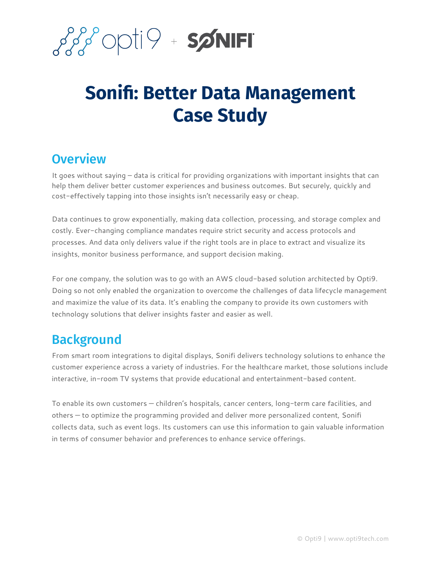

# **Sonifi: Better Data Management Case Study**

#### **Overview**

It goes without saying – data is critical for providing organizations with important insights that can help them deliver better customer experiences and business outcomes. But securely, quickly and cost-effectively tapping into those insights isn't necessarily easy or cheap.

Data continues to grow exponentially, making data collection, processing, and storage complex and costly. Ever-changing compliance mandates require strict security and access protocols and processes. And data only delivers value if the right tools are in place to extract and visualize its insights, monitor business performance, and support decision making.

For one company, the solution was to go with an AWS cloud-based solution architected by Opti9. Doing so not only enabled the organization to overcome the challenges of data lifecycle management and maximize the value of its data. It's enabling the company to provide its own customers with technology solutions that deliver insights faster and easier as well.

### Background

From smart room integrations to digital displays, Sonifi delivers technology solutions to enhance the customer experience across a variety of industries. For the healthcare market, those solutions include interactive, in-room TV systems that provide educational and entertainment-based content.

To enable its own customers — children's hospitals, cancer centers, long-term care facilities, and others — to optimize the programming provided and deliver more personalized content, Sonifi collects data, such as event logs. Its customers can use this information to gain valuable information in terms of consumer behavior and preferences to enhance service offerings.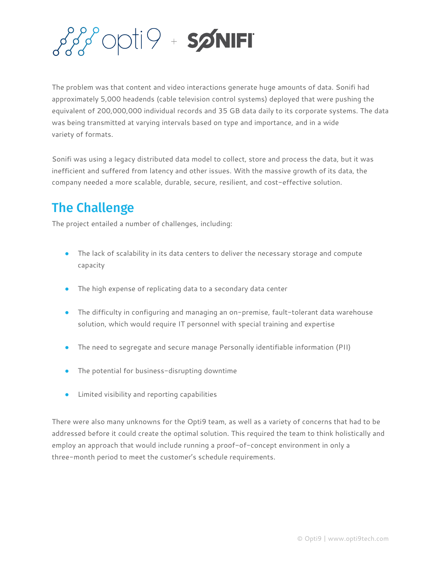

The problem was that content and video interactions generate huge amounts of data. Sonifi had approximately 5,000 headends (cable television control systems) deployed that were pushing the equivalent of 200,000,000 individual records and 35 GB data daily to its corporate systems. The data was being transmitted at varying intervals based on type and importance, and in a wide variety of formats.

Sonifi was using a legacy distributed data model to collect, store and process the data, but it was inefficient and suffered from latency and other issues. With the massive growth of its data, the company needed a more scalable, durable, secure, resilient, and cost-effective solution.

## The Challenge

The project entailed a number of challenges, including:

- The lack of scalability in its data centers to deliver the necessary storage and compute capacity
- The high expense of replicating data to a secondary data center
- The difficulty in configuring and managing an on-premise, fault-tolerant data warehouse solution, which would require IT personnel with special training and expertise
- The need to segregate and secure manage Personally identifiable information (PII)
- The potential for business-disrupting downtime
- Limited visibility and reporting capabilities

There were also many unknowns for the Opti9 team, as well as a variety of concerns that had to be addressed before it could create the optimal solution. This required the team to think holistically and employ an approach that would include running a proof-of-concept environment in only a three-month period to meet the customer's schedule requirements.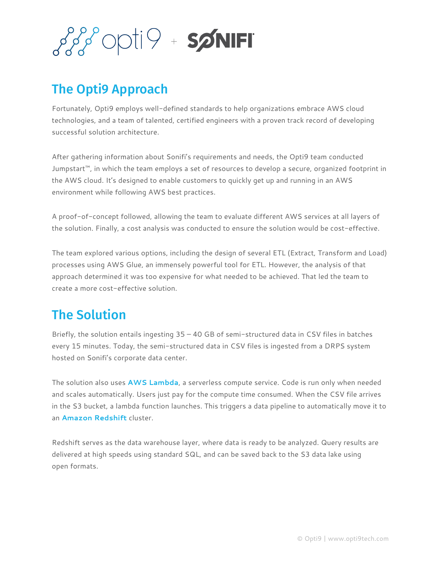

## The Opti9 Approach

Fortunately, Opti9 employs well-defined standards to help organizations embrace AWS cloud technologies, and a team of talented, certified engineers with a proven track record of developing successful solution architecture.

After gathering information about Sonifi's requirements and needs, the Opti9 team conducted Jumpstart™, in which the team employs a set of resources to develop a secure, organized footprint in the AWS cloud. It's designed to enable customers to quickly get up and running in an AWS environment while following AWS best practices.

A proof-of-concept followed, allowing the team to evaluate different AWS services at all layers of the solution. Finally, a cost analysis was conducted to ensure the solution would be cost-effective.

The team explored various options, including the design of several ETL (Extract, Transform and Load) processes using AWS Glue, an immensely powerful tool for ETL. However, the analysis of that approach determined it was too expensive for what needed to be achieved. That led the team to create a more cost-effective solution.

## The Solution

Briefly, the solution entails ingesting  $35 - 40$  GB of semi-structured data in CSV files in batches every 15 minutes. Today, the semi-structured data in CSV files is ingested from a DRPS system hosted on Sonifi's corporate data center.

The solution also uses **AWS [Lambda](https://aws.amazon.com/lambda/)**, a serverless compute service. Code is run only when needed and scales automatically. Users just pay for the compute time consumed. When the CSV file arrives in the S3 bucket, a lambda function launches. This triggers a data pipeline to automatically move it to an **Amazon [Redshift](https://aws.amazon.com/redshift/)** cluster.

Redshift serves as the data warehouse layer, where data is ready to be analyzed. Query results are delivered at high speeds using standard SQL, and can be saved back to the S3 data lake using open formats.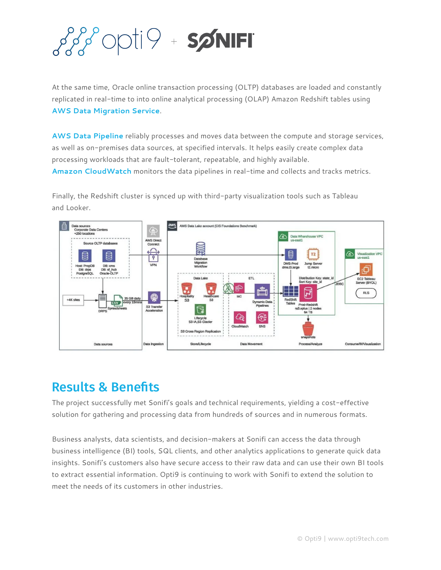

At the same time, Oracle online transaction processing (OLTP) databases are loaded and constantly replicated in real-time to into online analytical processing (OLAP) Amazon Redshift tables using **AWS Data [Migration](https://aws.amazon.com/dms/) Service**.

**AWS Data [Pipeline](https://aws.amazon.com/datapipeline/)** reliably processes and moves data between the compute and storage services, as well as on-premises data sources, at specified intervals. It helps easily create complex data processing workloads that are fault-tolerant, repeatable, and highly available.

**Amazon [CloudWatch](https://aws.amazon.com/cloudwatch/)** monitors the data pipelines in real-time and collects and tracks metrics.

Finally, the Redshift cluster is synced up with third-party visualization tools such as Tableau and Looker.



#### Results & Benefits

The project successfully met Sonifi's goals and technical requirements, yielding a cost-effective solution for gathering and processing data from hundreds of sources and in numerous formats.

Business analysts, data scientists, and decision-makers at Sonifi can access the data through business intelligence (BI) tools, SQL clients, and other analytics applications to generate quick data insights. Sonifi's customers also have secure access to their raw data and can use their own BI tools to extract essential information. Opti9 is continuing to work with Sonifi to extend the solution to meet the needs of its customers in other industries.